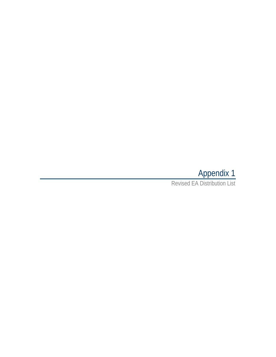## Appendix 1

Revised EA Distribution List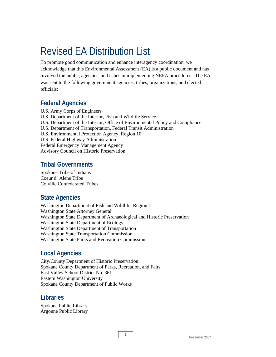# Revised EA Distribution List

To promote good communication and enhance interagency coordination, we acknowledge that this Environmental Assessment (EA) is a public document and has involved the public, agencies, and tribes in implementing NEPA procedures. The EA was sent to the following government agencies, tribes, organizations, and elected officials:

#### **Federal Agencies**

U.S. Army Corps of Engineers U.S. Department of the Interior, Fish and Wildlife Service U.S. Department of the Interior, Office of Environmental Policy and Compliance U.S. Department of Transportation, Federal Transit Administration U.S. Environmental Protection Agency, Region 10 U.S. Federal Highway Administration Federal Emergency Management Agency Advisory Council on Historic Preservation

#### **Tribal Governments**

Spokane Tribe of Indians Coeur d' Alene Tribe Colville Confederated Tribes

#### **State Agencies**

Washington Department of Fish and Wildlife, Region 1 Washington State Attorney General Washington State Department of Archaeological and Historic Preservation Washington State Department of Ecology Washington State Department of Transportation Washington State Transportation Commission Washington State Parks and Recreation Commission

**1** 

#### **Local Agencies**

City/County Department of Historic Preservation Spokane County Department of Parks, Recreation, and Fairs East Valley School District No. 361 Eastern Washington University Spokane County Department of Public Works

#### **Libraries**

Spokane Public Library Argonne Public Library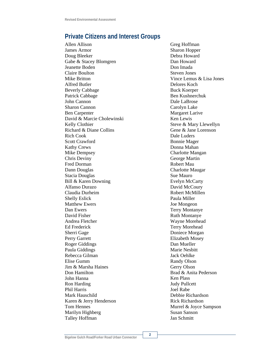### **Private Citizens and Interest Groups**

Allen Allison James Armor Doug Bleeker Gabe & Stacey Blomgren Jeanette Boden Claire Boulton Mike Britton Alfred Butler Beverly Cabbage Patrick Cabbage John Cannon Sharon Cannon Ben Carpenter David & Marcie Cholewinski Kelly Clothier Richard & Diane Collins Rich Cook Scott Crawford Kathy Crews Mike Dempsey Chris Deviny Fred Dorman Dann Douglas Stacia Douglas Bill & Karen Downing Alfanso Durazo Claudia Durheim Shelly Eslick Matthew Ewers Dan Ewers David Fisher Andrea Fletcher Ed Frederick Sherri Gage Perry Garrett Roger Giddings Paula Giddings Rebecca Gilman Elise Gumm Jim & Marsha Haines Don Hamilton John Hanna Ron Harding Phil Harris Mark Hauschild Karen & Jerry Henderson Tom Hennes Marilyn Highberg Talley Hoffman

Greg Hoffman Sharon Hopper Debra Howard Dan Howard Don Imada Steven Jones Vince Lemus & Lisa Jones Delores Koch Buck Koerper Ben Kushnerchuk Dale LaBrose Carolyn Lake Margaret Larive Ken Lewis Steve & Mary Llewellyn Gene & Jane Lorenson Dale Luders Bonnie Mager Donna Mahan Charlotte Mangan George Martin Robert Mau Charlotte Maugar Sue Mauro Evelyn McCarty David McCoury Robert McMillen Paula Miller Joe Mongeon Terry Montanye Ruth Montanye Wayne Morehead Terry Morehead Doniece Morgan Elizabeth Mosey Dan Mueller Marie Nesbitt Jack Oehlke Randy Olson Gerry Olson Brad & Anita Pederson Ken Plass Judy Pullcett Joel Rabe Debbie Richardson Rick Richardson Murrel & Joyce Sampson Susan Sanson Jan Schmitt